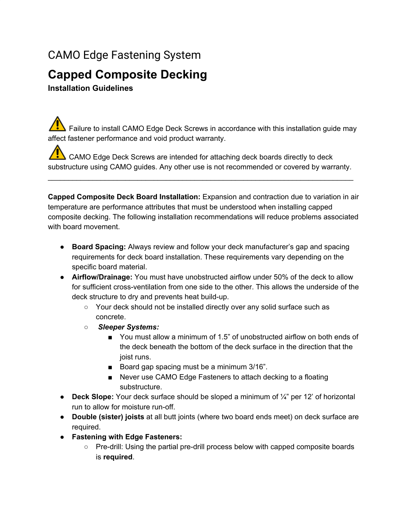## CAMO Edge Fastening System

## **Capped Composite Decking**

**Installation Guidelines**

 $\sqrt{\sqrt{N}}$  Failure to install CAMO Edge Deck Screws in accordance with this installation guide may affect fastener performance and void product warranty.

CAMO Edge Deck Screws are intended for attaching deck boards directly to deck substructure using CAMO guides. Any other use is not recommended or covered by warranty.

\_\_\_\_\_\_\_\_\_\_\_\_\_\_\_\_\_\_\_\_\_\_\_\_\_\_\_\_\_\_\_\_\_\_\_\_\_\_\_\_\_\_\_\_\_\_\_\_\_\_\_\_\_\_\_\_\_\_\_\_\_\_\_\_\_\_\_\_\_\_\_\_\_\_\_

**Capped Composite Deck Board Installation:** Expansion and contraction due to variation in air temperature are performance attributes that must be understood when installing capped composite decking. The following installation recommendations will reduce problems associated with board movement.

- **Board Spacing:** Always review and follow your deck manufacturer's gap and spacing requirements for deck board installation. These requirements vary depending on the specific board material.
- **Airflow/Drainage:** You must have unobstructed airflow under 50% of the deck to allow for sufficient cross-ventilation from one side to the other. This allows the underside of the deck structure to dry and prevents heat build-up.
	- Your deck should not be installed directly over any solid surface such as concrete.
	- *Sleeper Systems:*
		- You must allow a minimum of 1.5" of unobstructed airflow on both ends of the deck beneath the bottom of the deck surface in the direction that the joist runs.
		- Board gap spacing must be a minimum 3/16".
		- Never use CAMO Edge Fasteners to attach decking to a floating substructure.
- **Deck Slope:** Your deck surface should be sloped a minimum of ¼" per 12' of horizontal run to allow for moisture run-off.
- **Double (sister) joists** at all butt joints (where two board ends meet) on deck surface are required.
- **Fastening with Edge Fasteners:**
	- Pre-drill: Using the partial pre-drill process below with capped composite boards is **required**.